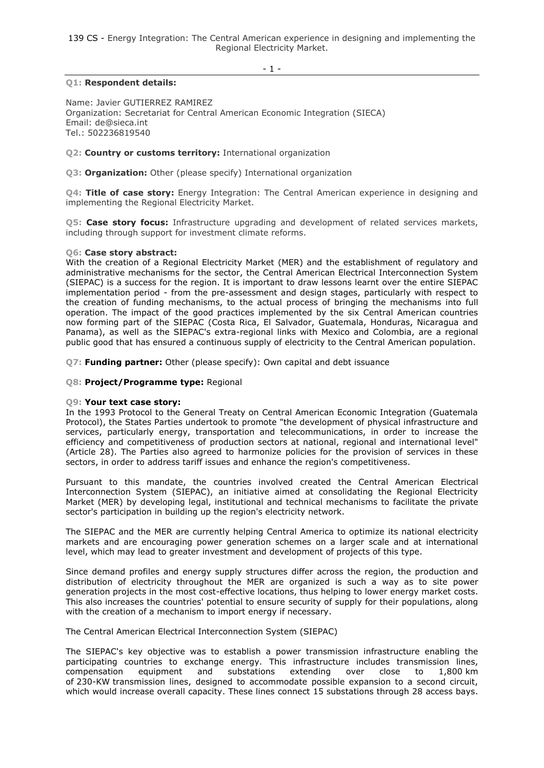139 CS - Energy Integration: The Central American experience in designing and implementing the Regional Electricity Market.

 $-1 -$ 

# **Q1: Respondent details:**

Name: Javier GUTIERREZ RAMIREZ Organization: Secretariat for Central American Economic Integration (SIECA) Email: de@sieca.int Tel.: 502236819540

**Q2: Country or customs territory:** International organization

**Q3: Organization:** Other (please specify) International organization

**Q4: Title of case story:** Energy Integration: The Central American experience in designing and implementing the Regional Electricity Market.

**Q5: Case story focus:** Infrastructure upgrading and development of related services markets, including through support for investment climate reforms.

#### **Q6: Case story abstract:**

With the creation of a Regional Electricity Market (MER) and the establishment of regulatory and administrative mechanisms for the sector, the Central American Electrical Interconnection System (SIEPAC) is a success for the region. It is important to draw lessons learnt over the entire SIEPAC implementation period - from the pre-assessment and design stages, particularly with respect to the creation of funding mechanisms, to the actual process of bringing the mechanisms into full operation. The impact of the good practices implemented by the six Central American countries now forming part of the SIEPAC (Costa Rica, El Salvador, Guatemala, Honduras, Nicaragua and Panama), as well as the SIEPAC's extra-regional links with Mexico and Colombia, are a regional public good that has ensured a continuous supply of electricity to the Central American population.

**Q7: Funding partner:** Other (please specify): Own capital and debt issuance

**Q8: Project/Programme type:** Regional

#### **Q9: Your text case story:**

In the 1993 Protocol to the General Treaty on Central American Economic Integration (Guatemala Protocol), the States Parties undertook to promote "the development of physical infrastructure and services, particularly energy, transportation and telecommunications, in order to increase the efficiency and competitiveness of production sectors at national, regional and international level" (Article 28). The Parties also agreed to harmonize policies for the provision of services in these sectors, in order to address tariff issues and enhance the region's competitiveness.

Pursuant to this mandate, the countries involved created the Central American Electrical Interconnection System (SIEPAC), an initiative aimed at consolidating the Regional Electricity Market (MER) by developing legal, institutional and technical mechanisms to facilitate the private sector's participation in building up the region's electricity network.

The SIEPAC and the MER are currently helping Central America to optimize its national electricity markets and are encouraging power generation schemes on a larger scale and at international level, which may lead to greater investment and development of projects of this type.

Since demand profiles and energy supply structures differ across the region, the production and distribution of electricity throughout the MER are organized is such a way as to site power generation projects in the most cost-effective locations, thus helping to lower energy market costs. This also increases the countries' potential to ensure security of supply for their populations, along with the creation of a mechanism to import energy if necessary.

The Central American Electrical Interconnection System (SIEPAC)

The SIEPAC's key objective was to establish a power transmission infrastructure enabling the participating countries to exchange energy. This infrastructure includes transmission lines, compensation equipment and substations extending over close to 1,800 km of 230-KW transmission lines, designed to accommodate possible expansion to a second circuit, which would increase overall capacity. These lines connect 15 substations through 28 access bays.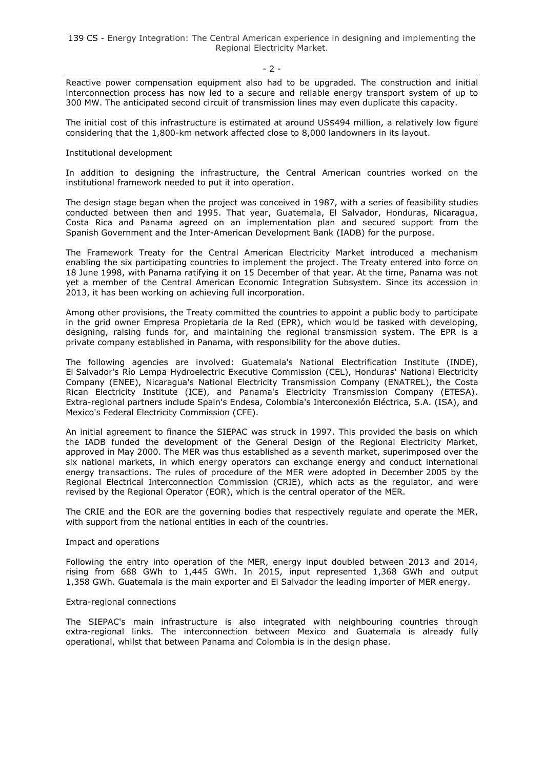$-2 -$ 

Reactive power compensation equipment also had to be upgraded. The construction and initial interconnection process has now led to a secure and reliable energy transport system of up to 300 MW. The anticipated second circuit of transmission lines may even duplicate this capacity.

The initial cost of this infrastructure is estimated at around US\$494 million, a relatively low figure considering that the 1,800-km network affected close to 8,000 landowners in its layout.

## Institutional development

In addition to designing the infrastructure, the Central American countries worked on the institutional framework needed to put it into operation.

The design stage began when the project was conceived in 1987, with a series of feasibility studies conducted between then and 1995. That year, Guatemala, El Salvador, Honduras, Nicaragua, Costa Rica and Panama agreed on an implementation plan and secured support from the Spanish Government and the Inter-American Development Bank (IADB) for the purpose.

The Framework Treaty for the Central American Electricity Market introduced a mechanism enabling the six participating countries to implement the project. The Treaty entered into force on 18 June 1998, with Panama ratifying it on 15 December of that year. At the time, Panama was not yet a member of the Central American Economic Integration Subsystem. Since its accession in 2013, it has been working on achieving full incorporation.

Among other provisions, the Treaty committed the countries to appoint a public body to participate in the grid owner Empresa Propietaria de la Red (EPR), which would be tasked with developing, designing, raising funds for, and maintaining the regional transmission system. The EPR is a private company established in Panama, with responsibility for the above duties.

The following agencies are involved: Guatemala's National Electrification Institute (INDE), El Salvador's Río Lempa Hydroelectric Executive Commission (CEL), Honduras' National Electricity Company (ENEE), Nicaragua's National Electricity Transmission Company (ENATREL), the Costa Rican Electricity Institute (ICE), and Panama's Electricity Transmission Company (ETESA). Extra-regional partners include Spain's Endesa, Colombia's Interconexión Eléctrica, S.A. (ISA), and Mexico's Federal Electricity Commission (CFE).

An initial agreement to finance the SIEPAC was struck in 1997. This provided the basis on which the IADB funded the development of the General Design of the Regional Electricity Market, approved in May 2000. The MER was thus established as a seventh market, superimposed over the six national markets, in which energy operators can exchange energy and conduct international energy transactions. The rules of procedure of the MER were adopted in December 2005 by the Regional Electrical Interconnection Commission (CRIE), which acts as the regulator, and were revised by the Regional Operator (EOR), which is the central operator of the MER.

The CRIE and the EOR are the governing bodies that respectively regulate and operate the MER, with support from the national entities in each of the countries.

#### Impact and operations

Following the entry into operation of the MER, energy input doubled between 2013 and 2014, rising from 688 GWh to 1,445 GWh. In 2015, input represented 1,368 GWh and output 1,358 GWh. Guatemala is the main exporter and El Salvador the leading importer of MER energy.

#### Extra-regional connections

The SIEPAC's main infrastructure is also integrated with neighbouring countries through extra-regional links. The interconnection between Mexico and Guatemala is already fully operational, whilst that between Panama and Colombia is in the design phase.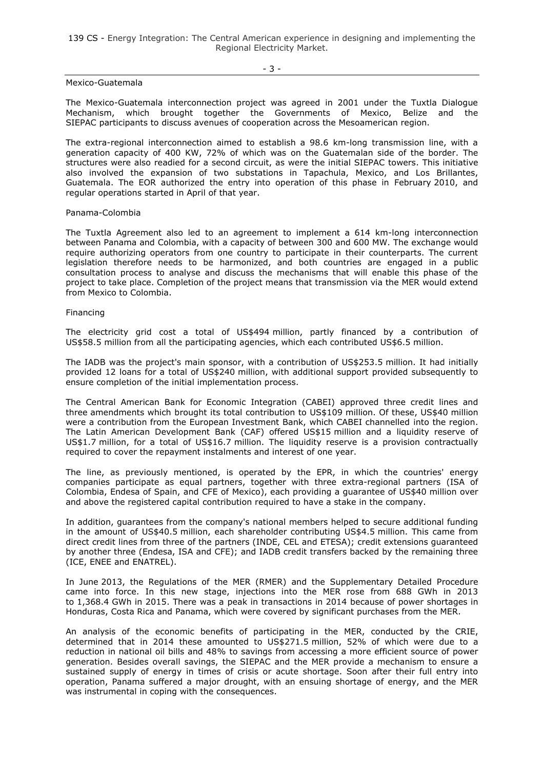139 CS - Energy Integration: The Central American experience in designing and implementing the Regional Electricity Market.

Mexico-Guatemala

The Mexico-Guatemala interconnection project was agreed in 2001 under the Tuxtla Dialogue Mechanism, which brought together the Governments of Mexico, Belize and the SIEPAC participants to discuss avenues of cooperation across the Mesoamerican region.

The extra-regional interconnection aimed to establish a 98.6 km-long transmission line, with a generation capacity of 400 KW, 72% of which was on the Guatemalan side of the border. The structures were also readied for a second circuit, as were the initial SIEPAC towers. This initiative also involved the expansion of two substations in Tapachula, Mexico, and Los Brillantes, Guatemala. The EOR authorized the entry into operation of this phase in February 2010, and regular operations started in April of that year.

#### Panama-Colombia

The Tuxtla Agreement also led to an agreement to implement a 614 km-long interconnection between Panama and Colombia, with a capacity of between 300 and 600 MW. The exchange would require authorizing operators from one country to participate in their counterparts. The current legislation therefore needs to be harmonized, and both countries are engaged in a public consultation process to analyse and discuss the mechanisms that will enable this phase of the project to take place. Completion of the project means that transmission via the MER would extend from Mexico to Colombia.

#### Financing

The electricity grid cost a total of US\$494 million, partly financed by a contribution of US\$58.5 million from all the participating agencies, which each contributed US\$6.5 million.

The IADB was the project's main sponsor, with a contribution of US\$253.5 million. It had initially provided 12 loans for a total of US\$240 million, with additional support provided subsequently to ensure completion of the initial implementation process.

The Central American Bank for Economic Integration (CABEI) approved three credit lines and three amendments which brought its total contribution to US\$109 million. Of these, US\$40 million were a contribution from the European Investment Bank, which CABEI channelled into the region. The Latin American Development Bank (CAF) offered US\$15 million and a liquidity reserve of US\$1.7 million, for a total of US\$16.7 million. The liquidity reserve is a provision contractually required to cover the repayment instalments and interest of one year.

The line, as previously mentioned, is operated by the EPR, in which the countries' energy companies participate as equal partners, together with three extra-regional partners (ISA of Colombia, Endesa of Spain, and CFE of Mexico), each providing a guarantee of US\$40 million over and above the registered capital contribution required to have a stake in the company.

In addition, guarantees from the company's national members helped to secure additional funding in the amount of US\$40.5 million, each shareholder contributing US\$4.5 million. This came from direct credit lines from three of the partners (INDE, CEL and ETESA); credit extensions guaranteed by another three (Endesa, ISA and CFE); and IADB credit transfers backed by the remaining three (ICE, ENEE and ENATREL).

In June 2013, the Regulations of the MER (RMER) and the Supplementary Detailed Procedure came into force. In this new stage, injections into the MER rose from 688 GWh in 2013 to 1,368.4 GWh in 2015. There was a peak in transactions in 2014 because of power shortages in Honduras, Costa Rica and Panama, which were covered by significant purchases from the MER.

An analysis of the economic benefits of participating in the MER, conducted by the CRIE, determined that in 2014 these amounted to US\$271.5 million, 52% of which were due to a reduction in national oil bills and 48% to savings from accessing a more efficient source of power generation. Besides overall savings, the SIEPAC and the MER provide a mechanism to ensure a sustained supply of energy in times of crisis or acute shortage. Soon after their full entry into operation, Panama suffered a major drought, with an ensuing shortage of energy, and the MER was instrumental in coping with the consequences.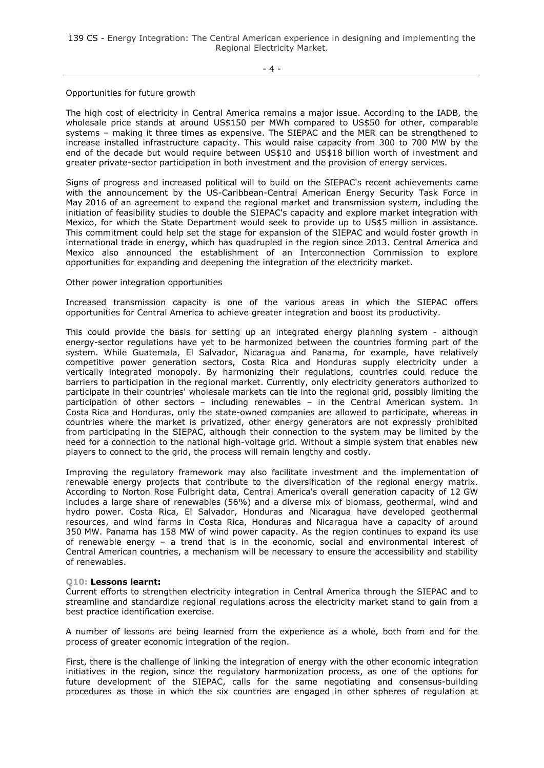139 CS - Energy Integration: The Central American experience in designing and implementing the Regional Electricity Market.

## Opportunities for future growth

The high cost of electricity in Central America remains a major issue. According to the IADB, the wholesale price stands at around US\$150 per MWh compared to US\$50 for other, comparable systems – making it three times as expensive. The SIEPAC and the MER can be strengthened to increase installed infrastructure capacity. This would raise capacity from 300 to 700 MW by the end of the decade but would require between US\$10 and US\$18 billion worth of investment and greater private-sector participation in both investment and the provision of energy services.

Signs of progress and increased political will to build on the SIEPAC's recent achievements came with the announcement by the US-Caribbean-Central American Energy Security Task Force in May 2016 of an agreement to expand the regional market and transmission system, including the initiation of feasibility studies to double the SIEPAC's capacity and explore market integration with Mexico, for which the State Department would seek to provide up to US\$5 million in assistance. This commitment could help set the stage for expansion of the SIEPAC and would foster growth in international trade in energy, which has quadrupled in the region since 2013. Central America and Mexico also announced the establishment of an Interconnection Commission to explore opportunities for expanding and deepening the integration of the electricity market.

# Other power integration opportunities

Increased transmission capacity is one of the various areas in which the SIEPAC offers opportunities for Central America to achieve greater integration and boost its productivity.

This could provide the basis for setting up an integrated energy planning system - although energy-sector regulations have yet to be harmonized between the countries forming part of the system. While Guatemala, El Salvador, Nicaragua and Panama, for example, have relatively competitive power generation sectors, Costa Rica and Honduras supply electricity under a vertically integrated monopoly. By harmonizing their regulations, countries could reduce the barriers to participation in the regional market. Currently, only electricity generators authorized to participate in their countries' wholesale markets can tie into the regional grid, possibly limiting the participation of other sectors – including renewables – in the Central American system. In Costa Rica and Honduras, only the state-owned companies are allowed to participate, whereas in countries where the market is privatized, other energy generators are not expressly prohibited from participating in the SIEPAC, although their connection to the system may be limited by the need for a connection to the national high-voltage grid. Without a simple system that enables new players to connect to the grid, the process will remain lengthy and costly.

Improving the regulatory framework may also facilitate investment and the implementation of renewable energy projects that contribute to the diversification of the regional energy matrix. According to Norton Rose Fulbright data, Central America's overall generation capacity of 12 GW includes a large share of renewables (56%) and a diverse mix of biomass, geothermal, wind and hydro power. Costa Rica, El Salvador, Honduras and Nicaragua have developed geothermal resources, and wind farms in Costa Rica, Honduras and Nicaragua have a capacity of around 350 MW. Panama has 158 MW of wind power capacity. As the region continues to expand its use of renewable energy – a trend that is in the economic, social and environmental interest of Central American countries, a mechanism will be necessary to ensure the accessibility and stability of renewables.

#### **Q10: Lessons learnt:**

Current efforts to strengthen electricity integration in Central America through the SIEPAC and to streamline and standardize regional regulations across the electricity market stand to gain from a best practice identification exercise.

A number of lessons are being learned from the experience as a whole, both from and for the process of greater economic integration of the region.

First, there is the challenge of linking the integration of energy with the other economic integration initiatives in the region, since the regulatory harmonization process, as one of the options for future development of the SIEPAC, calls for the same negotiating and consensus-building procedures as those in which the six countries are engaged in other spheres of regulation at